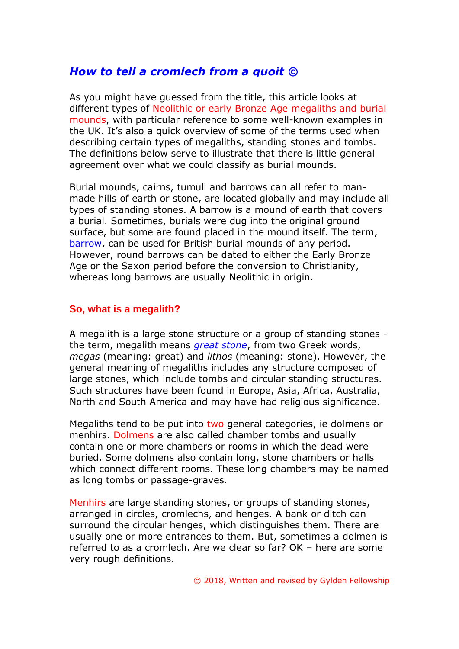# *How to tell a cromlech from a quoit ©*

As you might have guessed from the title, this article looks at different types of Neolithic or early Bronze Age megaliths and burial mounds, with particular reference to some well-known examples in the UK. It's also a quick overview of some of the terms used when describing certain types of megaliths, standing stones and tombs. The definitions below serve to illustrate that there is little general agreement over what we could classify as burial mounds.

Burial mounds, cairns, tumuli and barrows can all refer to manmade hills of earth or stone, are located globally and may include all types of standing stones. A barrow is a mound of earth that covers a burial. Sometimes, burials were dug into the original ground surface, but some are found placed in the mound itself. The term, barrow, can be used for British burial mounds of any period. However, round barrows can be dated to either the Early Bronze Age or the Saxon period before the conversion to Christianity, whereas long barrows are usually Neolithic in origin.

### **So, what is a megalith?**

A megalith is a large stone structure or a group of standing stones the term, megalith means *great stone*, from two Greek words, *megas* (meaning: great) and *lithos* (meaning: stone). However, the general meaning of megaliths includes any structure composed of large stones, which include tombs and circular standing structures. Such structures have been found in Europe, Asia, Africa, Australia, North and South America and may have had religious significance.

Megaliths tend to be put into two general categories, ie dolmens or menhirs. Dolmens are also called chamber tombs and usually contain one or more chambers or rooms in which the dead were buried. Some dolmens also contain long, stone chambers or halls which connect different rooms. These long chambers may be named as long tombs or passage-graves.

Menhirs are large standing stones, or groups of standing stones, arranged in circles, cromlechs, and henges. A bank or ditch can surround the circular henges, which distinguishes them. There are usually one or more entrances to them. But, sometimes a dolmen is referred to as a cromlech. Are we clear so far? OK – here are some very rough definitions.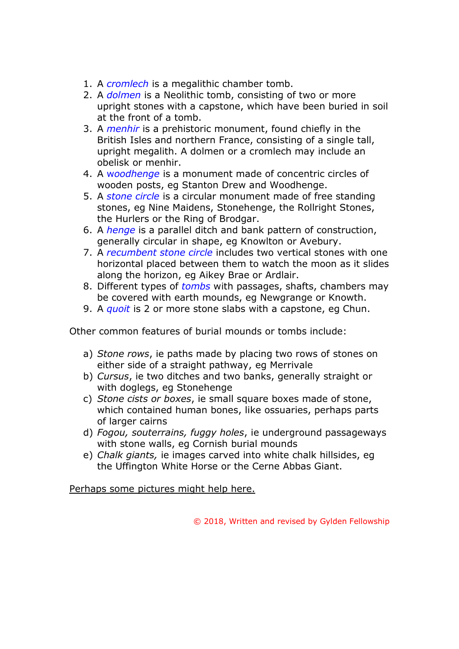- 1. A *cromlech* is a megalithic chamber tomb.
- 2. A *dolmen* is a Neolithic tomb, consisting of two or more upright stones with a capstone, which have been buried in soil at the front of a tomb.
- 3. A *menhir* is a prehistoric monument, found chiefly in the British Isles and northern France, consisting of a single tall, upright megalith. A dolmen or a cromlech may include an obelisk or menhir.
- 4. A w*oodhenge* is a monument made of concentric circles of wooden posts, eg Stanton Drew and Woodhenge.
- 5. A *stone circle* is a circular monument made of free standing stones, eg Nine Maidens, Stonehenge, the Rollright Stones, the Hurlers or the Ring of Brodgar.
- 6. A *henge* is a parallel ditch and bank pattern of construction, generally circular in shape, eg Knowlton or Avebury.
- 7. A *recumbent stone circle* includes two vertical stones with one horizontal placed between them to watch the moon as it slides along the horizon, eg Aikey Brae or Ardlair.
- 8. Different types of *tombs* with passages, shafts, chambers may be covered with earth mounds, eg Newgrange or Knowth.
- 9. A *quoit* is 2 or more stone slabs with a capstone, eg Chun.

Other common features of burial mounds or tombs include:

- a) *Stone rows*, ie paths made by placing two rows of stones on either side of a straight pathway, eg Merrivale
- b) *Cursus*, ie two ditches and two banks, generally straight or with doglegs, eg Stonehenge
- c) *Stone cists or boxes*, ie small square boxes made of stone, which contained human bones, like ossuaries, perhaps parts of larger cairns
- d) *Fogou, souterrains, fuggy holes*, ie underground passageways with stone walls, eg Cornish burial mounds
- e) *Chalk giants,* ie images carved into white chalk hillsides, eg the Uffington White Horse or the Cerne Abbas Giant.

Perhaps some pictures might help here.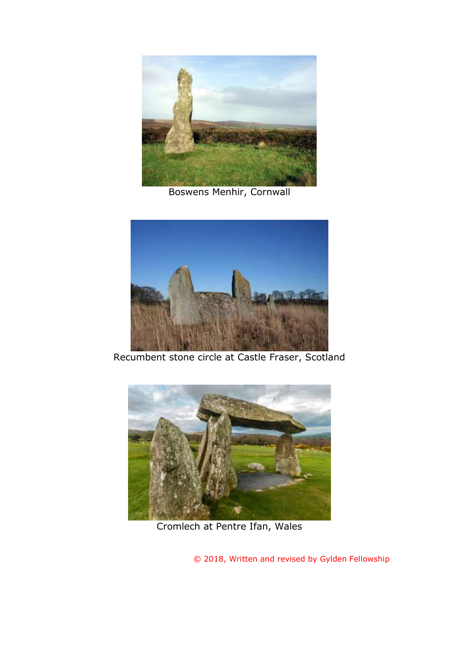

Boswens Menhir, Cornwall



Recumbent stone circle at Castle Fraser, Scotland



Cromlech at Pentre Ifan, Wales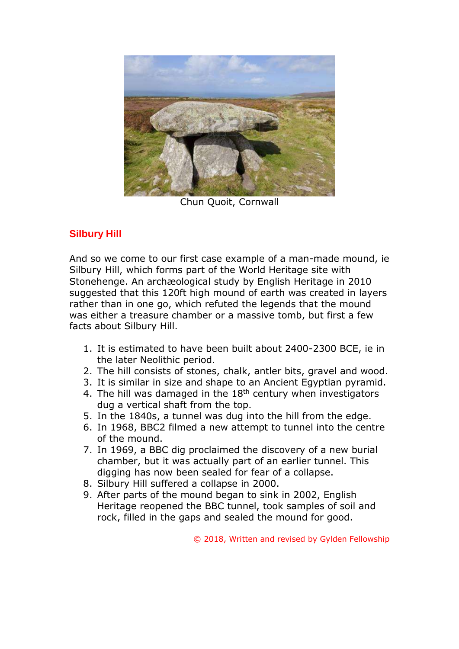

Chun Quoit, Cornwall

## **Silbury Hill**

And so we come to our first case example of a man-made mound, ie Silbury Hill, which forms part of the World Heritage site with Stonehenge. An archæological study by English Heritage in 2010 suggested that this 120ft high mound of earth was created in layers rather than in one go, which refuted the legends that the mound was either a treasure chamber or a massive tomb, but first a few facts about Silbury Hill.

- 1. It is estimated to have been built about 2400-2300 BCE, ie in the later Neolithic period.
- 2. The hill consists of stones, chalk, antler bits, gravel and wood.
- 3. It is similar in size and shape to an Ancient Egyptian pyramid.
- 4. The hill was damaged in the  $18<sup>th</sup>$  century when investigators dug a vertical shaft from the top.
- 5. In the 1840s, a tunnel was dug into the hill from the edge.
- 6. In 1968, BBC2 filmed a new attempt to tunnel into the centre of the mound.
- 7. In 1969, a BBC dig proclaimed the discovery of a new burial chamber, but it was actually part of an earlier tunnel. This digging has now been sealed for fear of a collapse.
- 8. Silbury Hill suffered a collapse in 2000.
- 9. After parts of the mound began to sink in 2002, English Heritage reopened the BBC tunnel, took samples of soil and rock, filled in the gaps and sealed the mound for good.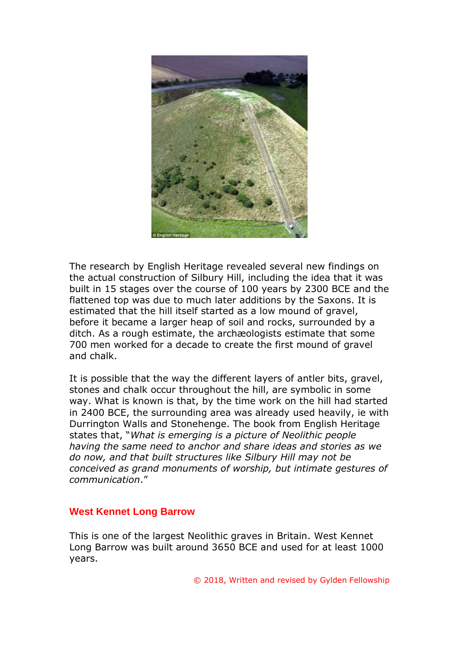

The research by English Heritage revealed several new findings on the actual construction of Silbury Hill, including the idea that it was built in 15 stages over the course of 100 years by 2300 BCE and the flattened top was due to much later additions by the Saxons. It is estimated that the hill itself started as a low mound of gravel, before it became a larger heap of soil and rocks, surrounded by a ditch. As a rough estimate, the archæologists estimate that some 700 men worked for a decade to create the first mound of gravel and chalk.

It is possible that the way the different layers of antler bits, gravel, stones and chalk occur throughout the hill, are symbolic in some way. What is known is that, by the time work on the hill had started in 2400 BCE, the surrounding area was already used heavily, ie with Durrington Walls and Stonehenge. The book from English Heritage states that, "*What is emerging is a picture of Neolithic people having the same need to anchor and share ideas and stories as we do now, and that built structures like Silbury Hill may not be conceived as grand monuments of worship, but intimate gestures of communication*."

#### **West Kennet Long Barrow**

This is one of the largest Neolithic graves in Britain. West Kennet Long Barrow was built around 3650 BCE and used for at least 1000 years.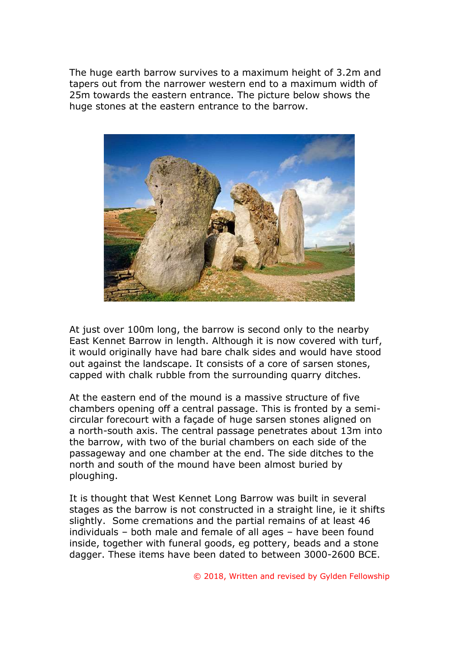The huge earth barrow survives to a maximum height of 3.2m and tapers out from the narrower western end to a maximum width of 25m towards the eastern entrance. The picture below shows the huge stones at the eastern entrance to the barrow.



At just over 100m long, the barrow is second only to the nearby East Kennet Barrow in length. Although it is now covered with turf, it would originally have had bare chalk sides and would have stood out against the landscape. It consists of a core of sarsen stones, capped with chalk rubble from the surrounding quarry ditches.

At the eastern end of the mound is a massive structure of five chambers opening off a central passage. This is fronted by a semicircular forecourt with a façade of huge sarsen stones aligned on a north-south axis. The central passage penetrates about 13m into the barrow, with two of the burial chambers on each side of the passageway and one chamber at the end. The side ditches to the north and south of the mound have been almost buried by ploughing.

It is thought that West Kennet Long Barrow was built in several stages as the barrow is not constructed in a straight line, ie it shifts slightly. Some cremations and the partial remains of at least 46 individuals – both male and female of all ages – have been found inside, together with funeral goods, eg pottery, beads and a stone dagger. These items have been dated to between 3000-2600 BCE.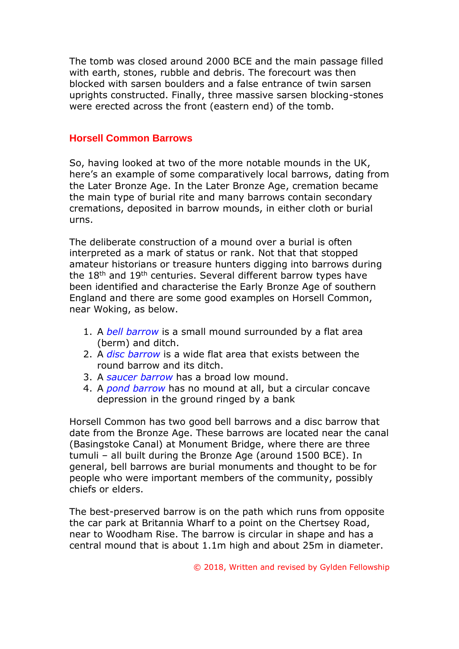The tomb was closed around 2000 BCE and the main passage filled with earth, stones, rubble and debris. The forecourt was then blocked with sarsen boulders and a false entrance of twin sarsen uprights constructed. Finally, three massive sarsen blocking-stones were erected across the front (eastern end) of the tomb.

#### **Horsell Common Barrows**

So, having looked at two of the more notable mounds in the UK, here's an example of some comparatively local barrows, dating from the Later Bronze Age. In the Later Bronze Age, cremation became the main type of burial rite and many barrows contain secondary cremations, deposited in barrow mounds, in either cloth or burial urns.

The deliberate construction of a mound over a burial is often interpreted as a mark of status or rank. Not that that stopped amateur historians or treasure hunters digging into barrows during the 18th and 19th centuries. Several different barrow types have been identified and characterise the Early Bronze Age of southern England and there are some good examples on Horsell Common, near Woking, as below.

- 1. A *bell barrow* is a small mound surrounded by a flat area (berm) and ditch.
- 2. A *disc barrow* is a wide flat area that exists between the round barrow and its ditch.
- 3. A *saucer barrow* has a broad low mound.
- 4. A *pond barrow* has no mound at all, but a circular concave depression in the ground ringed by a bank

Horsell Common has two good bell barrows and a disc barrow that date from the Bronze Age. These barrows are located near the canal (Basingstoke Canal) at Monument Bridge, where there are three tumuli – all built during the Bronze Age (around 1500 BCE). In general, bell barrows are burial monuments and thought to be for people who were important members of the community, possibly chiefs or elders.

The best-preserved barrow is on the path which runs from opposite the car park at Britannia Wharf to a point on the Chertsey Road, near to Woodham Rise. The barrow is circular in shape and has a central mound that is about 1.1m high and about 25m in diameter.